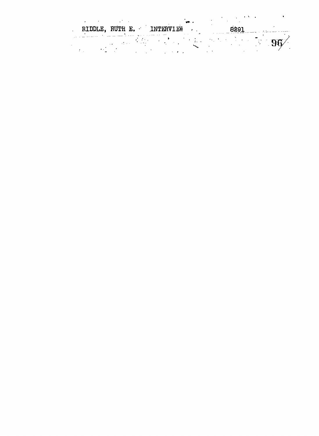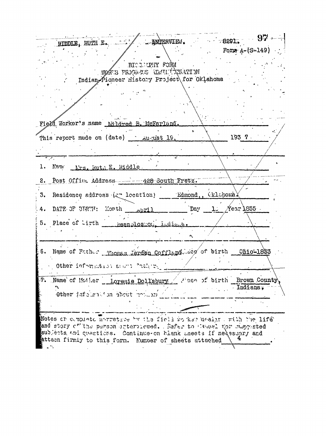|    | $-97 -$<br>HIDDLE, RUTH E. SMRERVIEW.                                                                 |
|----|-------------------------------------------------------------------------------------------------------|
|    | Form $A - (S-149)$                                                                                    |
|    | MACA YHRAGAIR<br>MORES PROGRES IDELLITININING<br>Indian Pioneer History Project for Oklahoma          |
|    |                                                                                                       |
|    | Field Worker's name hildred B. McFarland.                                                             |
|    | $193$ $7$<br>This report made on (date) $\frac{10}{19}$                                               |
|    |                                                                                                       |
|    | ल<br>$\overline{\mathcal{F}}$<br>1. Name Mrs. Huth E. Riddle                                          |
| 2. | Post Office Address -- 428 South Fretz.                                                               |
| 3. | Residence address (c" location) Edmond, CklahomaX                                                     |
| 4. | DATE OF SIRTH: Month $\frac{10 \text{ m} \cdot 1}{20 \text{ m} \cdot 1}$ Day $\frac{1}{2}$ / ear 1855 |
|    |                                                                                                       |
|    |                                                                                                       |
|    | Thomas Jerden Coffland dog of birth<br>$5.6.$ Name of Father<br>Ohio-1883                             |
|    | Other information arous fails                                                                         |
|    | Name of Mother __ Lorenie Doll'sbury.<br>Place of birth Brown County,                                 |
|    | Indiana,<br>Other jafolmation about not an                                                            |
|    |                                                                                                       |

Notes or exmplete intrative by the field worker dealar with the life and story of the person interviewed. Here to those tor suggested subjects and quastions. Continue on thank meets if newssary and attached (4) attaen firmly to this form. Number of sheets attached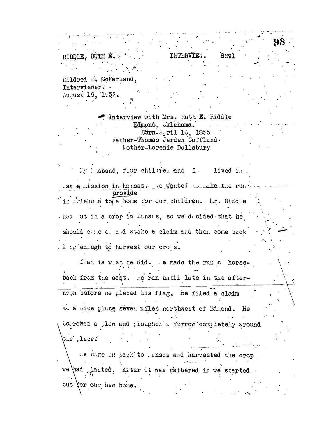hildred m. McFariand Interviewer. -August 19, 1937.

RIDDLE, RUTH É

Interview with Mrs. Ruth E. Riddle Edmond, Oklahoma. Bôrn-A; ril 16, 1885 Father-Thomas Jerden Coffland. Lother-Lorenie Dollsbury

INTERVIE

My basband, four chiliren and I was lived in. usa e hission in hansas. Je wanted in the the runprovide in the hole for our children. Lr. Riddle theat ut in a crop in Kansas, so we decided that he should cale of ald stake a claim and then come back 1 is enough to harvest our crops.

That is what he did. He made the run o horseback from the east. Te ran until late in the afternoon before me placed his flag. He filed a claim to a nice place seven miles northwest of Edmond. He Lorrowed a plow and ploughed a furrow completely around the Lace. te chime on paght to lansas and harvested the crop. we had planted. Aiter it was gathered in we started out for our new home.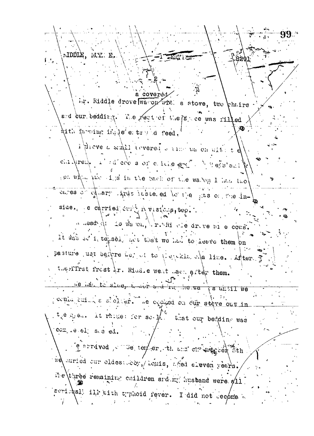RIDDLE, RUTHE. in. Riddle drove was on with a stove, two chairs. and our bedding. The rest of the ished was rilled tith farming indle entable deed. i dieve a småll tevered stamm va en with te children, i rateco sorte idhe exit. A setstani fr get when the rigs in the back of the walon I had tho cares of chart strus lastered for the two of the inside. e carried ourt i visicis, top. a mead di le wa ch, r. ki cle dr. ve ni e cows. It was set it temsel, not that we had to leave them on pasture ust before well of to plengale what line. After the first frost Ar. Riddle went had, after them. ne net to sime, however and in the way is until we conta cui le siciller. "Le coasse on cur stève out in , the erest it ranges for so. W. that our bedding was com . e. el se ed. fe strived of se temer th and circuit cell on the we auried our oldest tow, Louis, afed eleven years. Be three remaining children and my husband were gll. sericusly ill with typhoid fever. I did not ceepme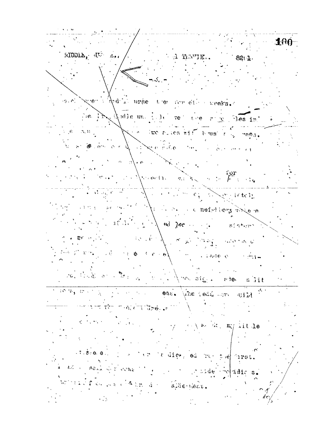186  $\texttt{RIDDLA}_{\bullet}$  (C) as A TEVIE.  $82:1.$ gren Mark urse the for still techs.  $\mathfrak{B}$  ,  $\mathfrak{S}$  , Se in the wall to return the fight  $\mathbf{e} = \mathbf{x}, \mathbf{u}$ Not the successfull house of the mand.  $\mathbb{R}^n$ e rike  $\begin{picture}(180,10) \put(0,0){\line(1,0){10}} \put(10,0){\line(1,0){10}} \put(10,0){\line(1,0){10}} \put(10,0){\line(1,0){10}} \put(10,0){\line(1,0){10}} \put(10,0){\line(1,0){10}} \put(10,0){\line(1,0){10}} \put(10,0){\line(1,0){10}} \put(10,0){\line(1,0){10}} \put(10,0){\line(1,0){10}} \put(10,0){\line(1,0){10}} \put(10,0){\line($ Angela Romer  $\mathcal{C}_{\mathcal{A}}=\mathcal{C}_{\mathcal{A}}\left(\mathcal{C}_{\mathcal{A}}\right)$ where  $\left\{ \begin{array}{ll} \mathbb{R}^n, \mathbb{R}^n \rightarrow \mathbb{R}^n, \mathbb{R}^n \rightarrow \mathbb{R}^n, \mathbb{R}^n \rightarrow \mathbb{R}^n, \mathbb{R}^n \rightarrow \mathbb{R}^n, \mathbb{R}^n \rightarrow \mathbb{R}^n, \mathbb{R}^n \rightarrow \mathbb{R}^n, \mathbb{R}^n \rightarrow \mathbb{R}^n, \mathbb{R}^n \rightarrow \mathbb{R}^n, \mathbb{R}^n \rightarrow \mathbb{R}^n, \mathbb{R}^n \rightarrow \mathbb{R}^n, \mathbb{R$  $\left(12.1\right)$  and  $\left(10.1\right)$  and  $\left(10.1\right)$  $\mathcal{L}(\mathcal{L}^{\mathcal{L}}_{\mathcal{L}}\times \mathcal{L}^{\mathcal{L}}_{\mathcal{L}}) = \sum_{\mathcal{L}^{\mathcal{L}}_{\mathcal{L}}\in \mathcal{L}^{\mathcal{L}}_{\mathcal{L}}}\mathcal{L}^{\mathcal{L}}_{\mathcal{L}}\left(\mathcal{L}^{\mathcal{L}}_{\mathcal{L}}\right) \mathcal{L}^{\mathcal{L}}_{\mathcal{L}}\left(\mathcal{L}^{\mathcal{L}}_{\mathcal{L}}\right) \mathcal{L}^{\mathcal{L}}_{\mathcal{L}}\left(\mathcal{L}^{\mathcal{L}}$  $\label{eq:3.1} \frac{1}{2}\left(\frac{1}{2}\sqrt{2}+\frac{1}{2}\frac{\partial^2}{\partial x^2}+\frac{1}{2}\frac{\partial^2}{\partial y^2}\right) \frac{1}{2}\left(\frac{1}{2}\frac{\partial^2}{\partial y^2}+\frac{1}{2}\frac{\partial^2}{\partial y^2}\right) \frac{1}{2}\frac{1}{2}\left(\frac{1}{2}\frac{\partial^2}{\partial y^2}+\frac{1}{2}\frac{\partial^2}{\partial y^2}\right)$ **Altero Mill**  $\infty$ ,  $\frac{1}{2}$ ,  $\frac{1}{2}$ ,  $\frac{1}{2}$ ,  $\frac{1}{2}$ ,  $\frac{1}{2}$ ,  $\frac{1}{2}$ ,  $\frac{1}{2}$ ,  $\frac{1}{2}$ ,  $\frac{1}{2}$ ,  $\frac{1}{2}$ ,  $\frac{1}{2}$ ,  $\frac{1}{2}$ ,  $\frac{1}{2}$ ,  $\frac{1}{2}$ ,  $\frac{1}{2}$ ,  $\frac{1}{2}$ ,  $\frac{1}{2}$ ,  $\frac{1}{2}$ ,  $\frac{1}{2}$ ,  $\frac{1$ so s, which have been as the teak for all.  $\frac{1}{\sqrt{2\pi}}\left(\frac{1}{\sqrt{2\pi}}\right)^{2\pi} \left(\frac{1}{\sqrt{2\pi}}\right)^{2\pi} \left(\frac{1}{\sqrt{2\pi}}\right)^{2\pi} \left(\frac{1}{\sqrt{2\pi}}\right)^{2\pi} \left(\frac{1}{\sqrt{2\pi}}\right)^{2\pi} \left(\frac{1}{\sqrt{2\pi}}\right)^{2\pi} \left(\frac{1}{\sqrt{2\pi}}\right)^{2\pi} \left(\frac{1}{\sqrt{2\pi}}\right)^{2\pi} \left(\frac{1}{\sqrt{2\pi}}\right)^{2\pi} \left(\frac{1}{\sqrt{$  $\label{eq:3.1} \begin{array}{c} \mathbf{C} \left( \mathbf{C} \right) \left( \mathbf{C} \right) \left( \mathbf{C} \right) \left( \mathbf{C} \right) \left( \mathbf{C} \right) \left( \mathbf{C} \right) \left( \mathbf{C} \right) \left( \mathbf{C} \right) \left( \mathbf{C} \right) \left( \mathbf{C} \right) \left( \mathbf{C} \right) \left( \mathbf{C} \right) \left( \mathbf{C} \right) \left( \mathbf{C} \right) \left( \mathbf{C} \right) \left( \mathbf{C} \right) \left( \mathbf$ The state of the state  $\leftrightarrow$  (as  $dx$  m/little  $\mathbb{R}^2$  . See e.k. ( ) and the contract of  $\mathbb{R}^2$  of  $\mathbb{R}^2$  ,  $\mathbb{R}^2$  ,  $\mathbb{R}^2$  ,  $\mathbb{R}^2$  ,  $\mathbb{R}^2$  ,  $\mathbb{R}^2$  ,  $\mathbb{R}^2$  ,  $\mathbb{R}^2$  ,  $\mathbb{R}^2$  ,  $\mathbb{R}^2$  ,  $\mathbb{R}^2$  ,  $\mathbb{R}^2$  ,  $\mathbb{$ 1 de la serie des des la provincia de la proprieta en la serie de Vonta de Composition de Sagender.  $\mathcal{L}_{\text{max}}$